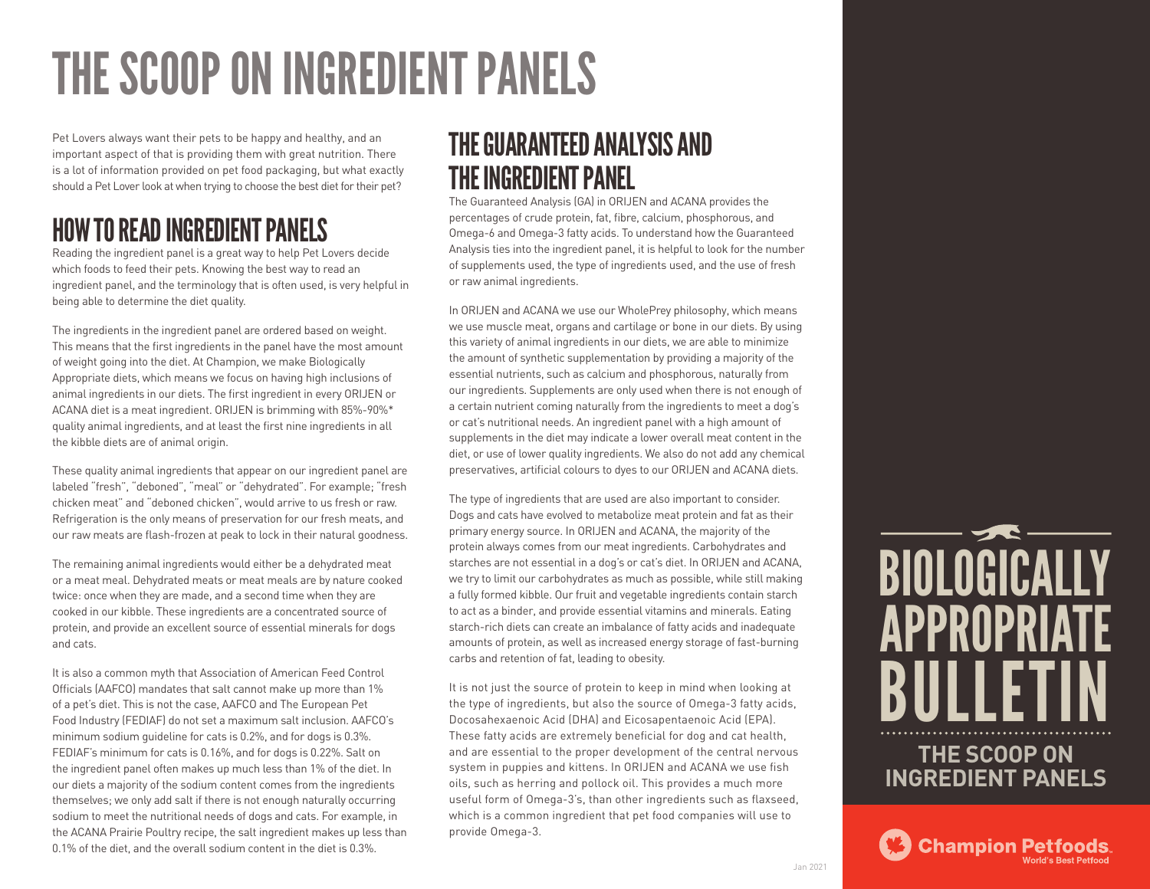# THE SCOOP ON INGREDIENT PANELS

Pet Lovers always want their pets to be happy and healthy, and an important aspect of that is providing them with great nutrition. There is a lot of information provided on pet food packaging, but what exactly should a Pet Lover look at when trying to choose the best diet for their pet?

## HOW TO READ INGREDIENT PANELS

Reading the ingredient panel is a great way to help Pet Lovers decide which foods to feed their pets. Knowing the best way to read an ingredient panel, and the terminology that is often used, is very helpful in being able to determine the diet quality.

The ingredients in the ingredient panel are ordered based on weight. This means that the first ingredients in the panel have the most amount of weight going into the diet. At Champion, we make Biologically Appropriate diets, which means we focus on having high inclusions of animal ingredients in our diets. The first ingredient in every ORIJEN or ACANA diet is a meat ingredient. ORIJEN is brimming with 85%-90%\* quality animal ingredients, and at least the first nine ingredients in all the kibble diets are of animal origin.

These quality animal ingredients that appear on our ingredient panel are labeled "fresh", "deboned", "meal" or "dehydrated". For example; "fresh chicken meat" and "deboned chicken", would arrive to us fresh or raw. Refrigeration is the only means of preservation for our fresh meats, and our raw meats are flash-frozen at peak to lock in their natural goodness.

The remaining animal ingredients would either be a dehydrated meat or a meat meal. Dehydrated meats or meat meals are by nature cooked twice: once when they are made, and a second time when they are cooked in our kibble. These ingredients are a concentrated source of protein, and provide an excellent source of essential minerals for dogs and cats.

It is also a common myth that Association of American Feed Control Officials (AAFCO) mandates that salt cannot make up more than 1% of a pet's diet. This is not the case, AAFCO and The European Pet Food Industry (FEDIAF) do not set a maximum salt inclusion. AAFCO's minimum sodium guideline for cats is 0.2%, and for dogs is 0.3%. FEDIAF's minimum for cats is 0.16%, and for dogs is 0.22%. Salt on the ingredient panel often makes up much less than 1% of the diet. In our diets a majority of the sodium content comes from the ingredients themselves; we only add salt if there is not enough naturally occurring sodium to meet the nutritional needs of dogs and cats. For example, in the ACANA Prairie Poultry recipe, the salt ingredient makes up less than 0.1% of the diet, and the overall sodium content in the diet is 0.3%.

## THE GUARANTEED ANALYSIS AND THE INGREDIENT PANEL

The Guaranteed Analysis (GA) in ORIJEN and ACANA provides the percentages of crude protein, fat, fibre, calcium, phosphorous, and Omega-6 and Omega-3 fatty acids. To understand how the Guaranteed Analysis ties into the ingredient panel, it is helpful to look for the number of supplements used, the type of ingredients used, and the use of fresh or raw animal ingredients.

In ORIJEN and ACANA we use our WholePrey philosophy, which means we use muscle meat, organs and cartilage or bone in our diets. By using this variety of animal ingredients in our diets, we are able to minimize the amount of synthetic supplementation by providing a majority of the essential nutrients, such as calcium and phosphorous, naturally from our ingredients. Supplements are only used when there is not enough of a certain nutrient coming naturally from the ingredients to meet a dog's or cat's nutritional needs. An ingredient panel with a high amount of supplements in the diet may indicate a lower overall meat content in the diet, or use of lower quality ingredients. We also do not add any chemical preservatives, artificial colours to dyes to our ORIJEN and ACANA diets.

The type of ingredients that are used are also important to consider. Dogs and cats have evolved to metabolize meat protein and fat as their primary energy source. In ORIJEN and ACANA, the majority of the protein always comes from our meat ingredients. Carbohydrates and starches are not essential in a dog's or cat's diet. In ORIJEN and ACANA, we try to limit our carbohydrates as much as possible, while still making a fully formed kibble. Our fruit and vegetable ingredients contain starch to act as a binder, and provide essential vitamins and minerals. Eating starch-rich diets can create an imbalance of fatty acids and inadequate amounts of protein, as well as increased energy storage of fast-burning carbs and retention of fat, leading to obesity.

It is not just the source of protein to keep in mind when looking at the type of ingredients, but also the source of Omega-3 fatty acids, Docosahexaenoic Acid (DHA) and Eicosapentaenoic Acid (EPA). These fatty acids are extremely beneficial for dog and cat health, and are essential to the proper development of the central nervous system in puppies and kittens. In ORIJEN and ACANA we use fish oils, such as herring and pollock oil. This provides a much more useful form of Omega-3's, than other ingredients such as flaxseed, which is a common ingredient that pet food companies will use to provide Omega-3.